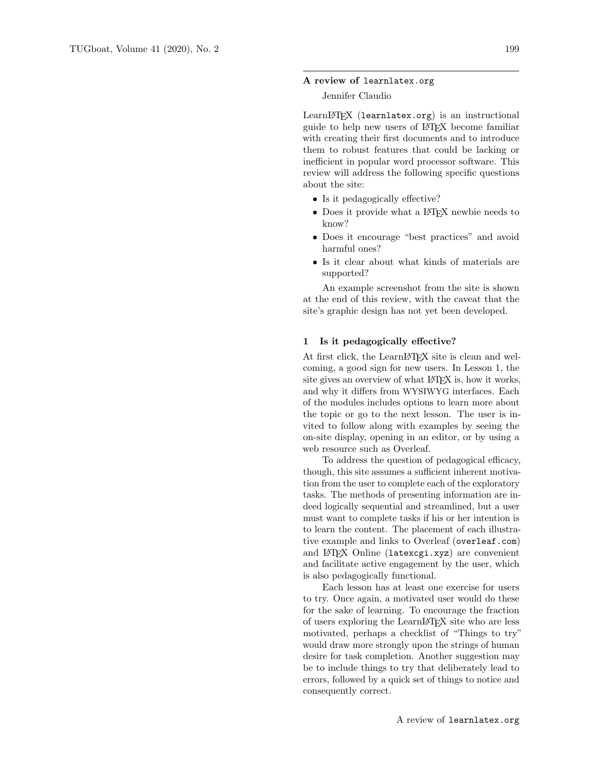#### A review of learnlatex.org

## Jennifer Claudio

LearnIATEX (learnlatex.org) is an instructional guide to help new users of LATEX become familiar with creating their first documents and to introduce them to robust features that could be lacking or inefficient in popular word processor software. This review will address the following specific questions about the site:

- Is it pedagogically effective?
- Does it provide what a LATEX newbie needs to know?
- Does it encourage "best practices" and avoid harmful ones?
- Is it clear about what kinds of materials are supported?

An example screenshot from the site is shown at the end of this review, with the caveat that the site's graphic design has not yet been developed.

#### 1 Is it pedagogically effective?

At first click, the LearnLAT<sub>EX</sub> site is clean and welcoming, a good sign for new users. In Lesson 1, the site gives an overview of what LAT<sub>EX</sub> is, how it works, and why it differs from WYSIWYG interfaces. Each of the modules includes options to learn more about the topic or go to the next lesson. The user is invited to follow along with examples by seeing the on-site display, opening in an editor, or by using a web resource such as Overleaf.

To address the question of pedagogical efficacy, though, this site assumes a sufficient inherent motivation from the user to complete each of the exploratory tasks. The methods of presenting information are indeed logically sequential and streamlined, but a user must want to complete tasks if his or her intention is to learn the content. The placement of each illustrative example and links to Overleaf (overleaf.com) and LATEX Online (latexcgi.xyz) are convenient and facilitate active engagement by the user, which is also pedagogically functional.

Each lesson has at least one exercise for users to try. Once again, a motivated user would do these for the sake of learning. To encourage the fraction of users exploring the LearnLATEX site who are less motivated, perhaps a checklist of "Things to try" would draw more strongly upon the strings of human desire for task completion. Another suggestion may be to include things to try that deliberately lead to errors, followed by a quick set of things to notice and consequently correct.